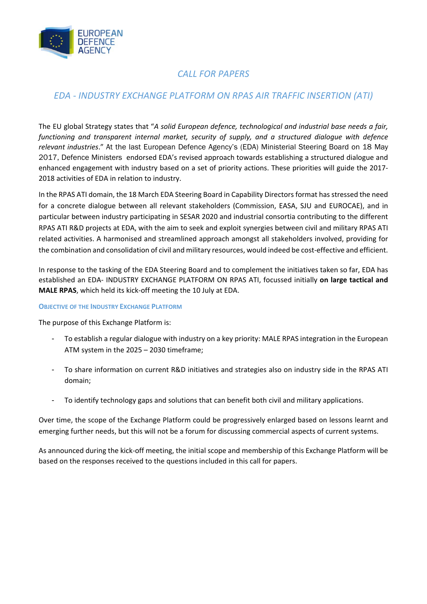

# *CALL FOR PAPERS*

# *EDA ‐ INDUSTRY EXCHANGE PLATFORM ON RPAS AIR TRAFFIC INSERTION (ATI)*

The EU global Strategy states that "*A solid European defence, technological and industrial base needs a fair, functioning and transparent internal market, security of supply, and a structured dialogue with defence relevant industries*." At the last European Defence Agency's (EDA) Ministerial Steering Board on 18 May 2017, Defence Ministers endorsed EDA's revised approach towards establishing a structured dialogue and enhanced engagement with industry based on a set of priority actions. These priorities will guide the 2017‐ 2018 activities of EDA in relation to industry.

In the RPAS ATI domain, the 18 March EDA Steering Board in Capability Directors format has stressed the need for a concrete dialogue between all relevant stakeholders (Commission, EASA, SJU and EUROCAE), and in particular between industry participating in SESAR 2020 and industrial consortia contributing to the different RPAS ATI R&D projects at EDA, with the aim to seek and exploit synergies between civil and military RPAS ATI related activities. A harmonised and streamlined approach amongst all stakeholders involved, providing for the combination and consolidation of civil and military resources, would indeed be cost-effective and efficient.

In response to the tasking of the EDA Steering Board and to complement the initiatives taken so far, EDA has established an EDA‐ INDUSTRY EXCHANGE PLATFORM ON RPAS ATI, focussed initially **on large tactical and MALE RPAS**, which held its kick‐off meeting the 10 July at EDA.

## **OBJECTIVE OF THE INDUSTRY EXCHANGE PLATFORM**

The purpose of this Exchange Platform is:

- To establish a regular dialogue with industry on a key priority: MALE RPAS integration in the European ATM system in the 2025 – 2030 timeframe;
- To share information on current R&D initiatives and strategies also on industry side in the RPAS ATI domain;
- To identify technology gaps and solutions that can benefit both civil and military applications.

Over time, the scope of the Exchange Platform could be progressively enlarged based on lessons learnt and emerging further needs, but this will not be a forum for discussing commercial aspects of current systems.

As announced during the kick‐off meeting, the initial scope and membership of this Exchange Platform will be based on the responses received to the questions included in this call for papers.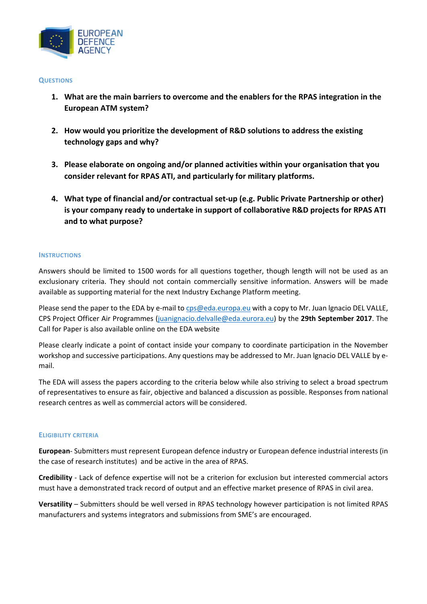

### **QUESTIONS**

- **1. What are the main barriers to overcome and the enablers for the RPAS integration in the European ATM system?**
- **2. How would you prioritize the development of R&D solutions to address the existing technology gaps and why?**
- **3. Please elaborate on ongoing and/or planned activities within your organisation that you consider relevant for RPAS ATI, and particularly for military platforms.**
- **4. What type of financial and/or contractual set‐up (e.g. Public Private Partnership or other) is your company ready to undertake in support of collaborative R&D projects for RPAS ATI and to what purpose?**

### **INSTRUCTIONS**

Answers should be limited to 1500 words for all questions together, though length will not be used as an exclusionary criteria. They should not contain commercially sensitive information. Answers will be made available as supporting material for the next Industry Exchange Platform meeting.

Please send the paper to the EDA by e-mail to cps@eda.europa.eu with a copy to Mr. Juan Ignacio DEL VALLE, CPS Project Officer Air Programmes (juanignacio.delvalle@eda.eurora.eu) by the **29th September 2017**. The Call for Paper is also available online on the EDA website

Please clearly indicate a point of contact inside your company to coordinate participation in the November workshop and successive participations. Any questions may be addressed to Mr. Juan lgnacio DEL VALLE by e‐ mail.

The EDA will assess the papers according to the criteria below while also striving to select a broad spectrum of representatives to ensure as fair, objective and balanced a discussion as possible. Responses from national research centres as well as commercial actors will be considered.

#### **ELIGIBILITY CRITERIA**

**European**‐ Submitters must represent European defence industry or European defence industrial interests (in the case of research institutes) and be active in the area of RPAS.

**Credibility** ‐ Lack of defence expertise will not be a criterion for exclusion but interested commercial actors must have a demonstrated track record of output and an effective market presence of RPAS in civil area.

**Versatility** – Submitters should be well versed in RPAS technology however participation is not limited RPAS manufacturers and systems integrators and submissions from SME's are encouraged.